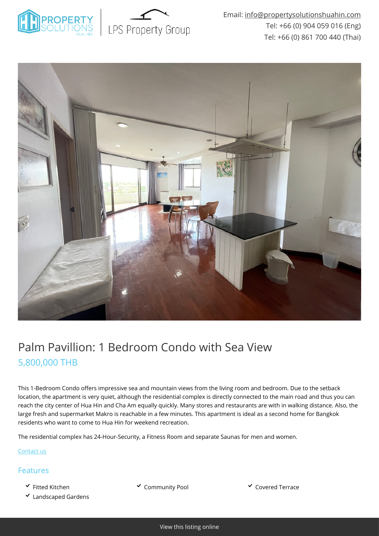



## Palm Pavillion: 1 Bedroom Condo with Sea View 5,800,000 THB

This 1-Bedroom Condo offers impressive sea and mountain views from the living room and bedroom. Due to the setback location, the apartment is very quiet, although the residential complex is directly connected to the main road and thus you can reach the city center of Hua Hin and Cha Am equally quickly. Many stores and restaurants are with in walking distance. Also, the large fresh and supermarket Makro is reachable in a few minutes. This apartment is ideal as a second home for Bangkok residents who want to come to Hua Hin for weekend recreation.

The residential complex has 24-Hour-Security, a Fitness Room and separate Saunas for men and women.

[Contact us](mailto:info@propertysolutionshuahin.com)

## Features

- 
- Landscaped Gardens

v Fitted Kitchen Community Pool v Covered Terrace